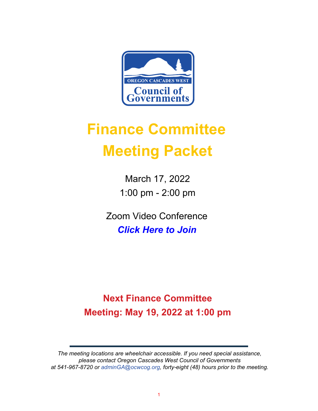

# **Finance Committee Meeting Packet**

March 17, 2022 1:00 pm - 2:00 pm

Zoom Video Conference *[Click Here to Join](https://ocwcog.zoom.us/j/89987186210?pwd=cEhPOUFvMjB1bGNldnNxSGdWbUtvZz09)*

# **Next Finance Committee Meeting: May 19, 2022 at 1:00 pm**

*The meeting locations are wheelchair accessible. If you need special assistance, please contact Oregon Cascades West Council of Governments at 541-967-8720 or adminGA@ocwcog.org, forty-eight (48) hours prior to the meeting.*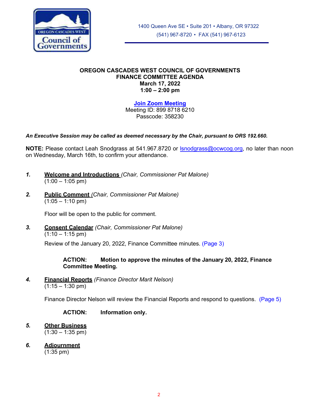<span id="page-1-0"></span>

#### **OREGON CASCADES WEST COUNCIL OF GOVERNMENTS FINANCE COMMITTEE AGENDA March 17, 2022 1:00 – 2:00 pm**

**[Join Zoom Meeting](https://ocwcog.zoom.us/j/89987186210?pwd=cEhPOUFvMjB1bGNldnNxSGdWbUtvZz09)**

Meeting ID: 899 8718 6210 Passcode: 358230

#### *An Executive Session may be called as deemed necessary by the Chair, pursuant to ORS 192.660.*

**NOTE:** Please contact Leah Snodgrass at 541.967.8720 or [lsnodgrass@ocwcog.org,](mailto:lsnodgrass@ocwcog.org) no later than noon on Wednesday, March 16th, to confirm your attendance.

- *1.* **Welcome and Introductions** *(Chair, Commissioner Pat Malone)*  $(1:00 - 1:05 \text{ pm})$
- *2.* **Public Comment** *(Chair, Commissioner Pat Malone)*  $(1:05 - 1:10 \text{ pm})$

Floor will be open to the public for comment.

*3.* **Consent Calendar** *(Chair, Commissioner Pat Malone)*  $(1:10 - 1:15 \text{ pm})$ 

Review of the January 20, 2022, Finance Committee minutes. [\(Page](#page-1-0) 3)

#### **ACTION: Motion to approve the minutes of the January 20, 2022, Finance Committee Meeting.**

*4.* **Financial Reports** *(Finance Director Marit Nelson)*  $(1:15 - 1:30 \text{ pm})$ 

Finance Director Nelson will review the Financial Reports and respond to questions. [\(Page](#page-1-0) 5)

**ACTION: Information only.** 

- *5.* **Other Business**  $(1:30 - 1:35 \text{ pm})$
- *6.* **Adjournment**

(1:35 pm)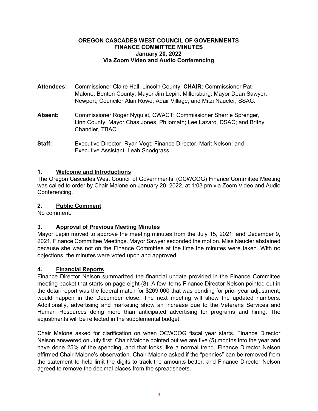#### <span id="page-2-0"></span>**OREGON CASCADES WEST COUNCIL OF GOVERNMENTS FINANCE COMMITTEE MINUTES January 20, 2022 Via Zoom Video and Audio Conferencing**

- **Attendees:** Commissioner Claire Hall, Lincoln County; **CHAIR:** Commissioner Pat Malone, Benton County; Mayor Jim Lepin, Millersburg; Mayor Dean Sawyer, Newport; Councilor Alan Rowe, Adair Village; and Mitzi Naucler, SSAC.
- **Absent:** Commissioner Roger Nyquist, CWACT; Commissioner Sherrie Sprenger, Linn County; Mayor Chas Jones, Philomath; Lee Lazaro, DSAC; and Britny Chandler, TBAC.
- **Staff:** Executive Director, Ryan Vogt; Finance Director, Marit Nelson; and Executive Assistant, Leah Snodgrass

#### **1. Welcome and Introductions**

The Oregon Cascades West Council of Governments' (OCWCOG) Finance Committee Meeting was called to order by Chair Malone on January 20, 2022, at 1:03 pm via Zoom Video and Audio Conferencing.

#### **2. Public Comment**

No comment.

#### **3. Approval of Previous Meeting Minutes**

Mayor Lepin moved to approve the meeting minutes from the July 15, 2021, and December 9, 2021, Finance Committee Meetings. Mayor Sawyer seconded the motion. Miss Naucler abstained because she was not on the Finance Committee at the time the minutes were taken. With no objections, the minutes were voted upon and approved.

#### **4. Financial Reports**

Finance Director Nelson summarized the financial update provided in the Finance Committee meeting packet that starts on page eight (8). A few items Finance Director Nelson pointed out in the detail report was the federal match for \$269,000 that was pending for prior year adjustment, would happen in the December close. The next meeting will show the updated numbers. Additionally, advertising and marketing show an increase due to the Veterans Services and Human Resources doing more than anticipated advertising for programs and hiring. The adjustments will be reflected in the supplemental budget.

Chair Malone asked for clarification on when OCWCOG fiscal year starts. Finance Director Nelson answered on July first. Chair Malone pointed out we are five (5) months into the year and have done 25% of the spending, and that looks like a normal trend. Finance Director Nelson affirmed Chair Malone's observation. Chair Malone asked if the "pennies" can be removed from the statement to help limit the digits to track the amounts better, and Finance Director Nelson agreed to remove the decimal places from the spreadsheets.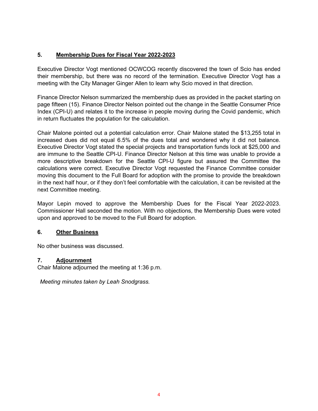### **5. Membership Dues for Fiscal Year 2022-2023**

Executive Director Vogt mentioned OCWCOG recently discovered the town of Scio has ended their membership, but there was no record of the termination. Executive Director Vogt has a meeting with the City Manager Ginger Allen to learn why Scio moved in that direction.

Finance Director Nelson summarized the membership dues as provided in the packet starting on page fifteen (15). Finance Director Nelson pointed out the change in the Seattle Consumer Price Index (CPI-U) and relates it to the increase in people moving during the Covid pandemic, which in return fluctuates the population for the calculation.

Chair Malone pointed out a potential calculation error. Chair Malone stated the \$13,255 total in increased dues did not equal 6.5% of the dues total and wondered why it did not balance. Executive Director Vogt stated the special projects and transportation funds lock at \$25,000 and are immune to the Seattle CPI-U. Finance Director Nelson at this time was unable to provide a more descriptive breakdown for the Seattle CPI-U figure but assured the Committee the calculations were correct. Executive Director Vogt requested the Finance Committee consider moving this document to the Full Board for adoption with the promise to provide the breakdown in the next half hour, or if they don't feel comfortable with the calculation, it can be revisited at the next Committee meeting.

Mayor Lepin moved to approve the Membership Dues for the Fiscal Year 2022-2023. Commissioner Hall seconded the motion. With no objections, the Membership Dues were voted upon and approved to be moved to the Full Board for adoption.

#### **6. Other Business**

No other business was discussed.

#### **7. Adjournment**

Chair Malone adjourned the meeting at 1:36 p.m.

*Meeting minutes taken by Leah Snodgrass.*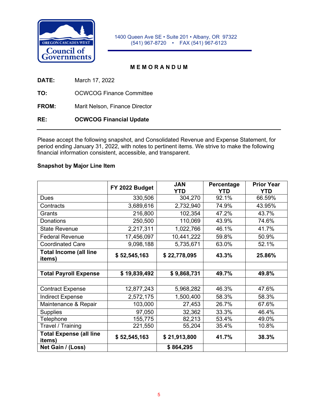<span id="page-4-0"></span>

1400 Queen Ave SE • Suite 201 • Albany, OR 97322 (541) 967-8720 • FAX (541) 967-6123

#### **M E M O R A N D U M**

**DATE:** March 17, 2022

**TO:** OCWCOG Finance Committee

**FROM:** Marit Nelson, Finance Director

**RE: OCWCOG Financial Update**

Please accept the following snapshot, and Consolidated Revenue and Expense Statement, for period ending January 31, 2022, with notes to pertinent items. We strive to make the following financial information consistent, accessible, and transparent.

#### **Snapshot by Major Line Item**

|                                          | FY 2022 Budget | <b>JAN</b><br><b>YTD</b> | Percentage<br><b>YTD</b> | <b>Prior Year</b><br><b>YTD</b> |
|------------------------------------------|----------------|--------------------------|--------------------------|---------------------------------|
| <b>Dues</b>                              | 330,506        | 304,270                  | 92.1%                    | 66.59%                          |
| Contracts                                | 3,689,616      | 2,732,940                | 74.9%                    | 43.95%                          |
| Grants                                   | 216,800        | 102,354                  | 47.2%                    | 43.7%                           |
| Donations                                | 250,500        | 110,069                  | 43.9%                    | 74.6%                           |
| <b>State Revenue</b>                     | 2,217,311      | 1,022,766                | 46.1%                    | 41.7%                           |
| <b>Federal Revenue</b>                   | 17,456,097     | 10,441,222               | 59.8%                    | 50.9%                           |
| <b>Coordinated Care</b>                  | 9,098,188      | 5,735,671                | 63.0%                    | 52.1%                           |
| <b>Total Income (all line</b><br>items)  | \$52,545,163   | \$22,778,095             | 43.3%                    | 25.86%                          |
|                                          |                |                          |                          |                                 |
| <b>Total Payroll Expense</b>             | \$19,839,492   | \$9,868,731              | 49.7%                    | 49.8%                           |
|                                          |                |                          |                          |                                 |
| <b>Contract Expense</b>                  | 12,877,243     | 5,968,282                | 46.3%                    | 47.6%                           |
| <b>Indirect Expense</b>                  | 2,572,175      | 1,500,400                | 58.3%                    | 58.3%                           |
| Maintenance & Repair                     | 103,000        | 27,453                   | 26.7%                    | 67.6%                           |
| <b>Supplies</b>                          | 97,050         | 32,362                   | 33.3%                    | 46.4%                           |
| Telephone                                | 155,775        | 82,213                   | 53.4%                    | 49.0%                           |
| Travel / Training                        | 221,550        | 55,204                   | 35.4%                    | 10.8%                           |
| <b>Total Expense (all line</b><br>items) | \$52,545,163   | \$21,913,800             | 41.7%                    | 38.3%                           |
| Net Gain / (Loss)                        |                | \$864,295                |                          |                                 |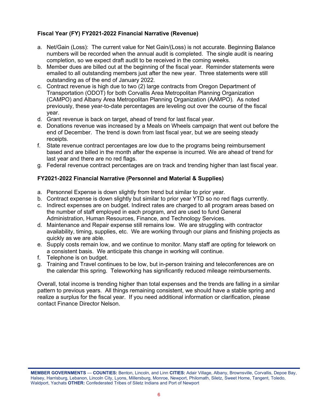#### **Fiscal Year (FY) FY2021-2022 Financial Narrative (Revenue)**

- a. Net/Gain (Loss): The current value for Net Gain/(Loss) is not accurate. Beginning Balance numbers will be recorded when the annual audit is completed. The single audit is nearing completion, so we expect draft audit to be received in the coming weeks.
- b. Member dues are billed out at the beginning of the fiscal year. Reminder statements were emailed to all outstanding members just after the new year. Three statements were still outstanding as of the end of January 2022.
- c. Contract revenue is high due to two (2) large contracts from Oregon Department of Transportation (ODOT) for both Corvallis Area Metropolitan Planning Organization (CAMPO) and Albany Area Metropolitan Planning Organization (AAMPO). As noted previously, these year-to-date percentages are leveling out over the course of the fiscal year.
- d. Grant revenue is back on target, ahead of trend for last fiscal year.
- e. Donations revenue was increased by a Meals on Wheels campaign that went out before the end of December. The trend is down from last fiscal year, but we are seeing steady receipts.
- f. State revenue contract percentages are low due to the programs being reimbursement based and are billed in the month after the expense is incurred. We are ahead of trend for last year and there are no red flags.
- g. Federal revenue contract percentages are on track and trending higher than last fiscal year.

#### **FY2021-2022 Financial Narrative (Personnel and Material & Supplies)**

- a. Personnel Expense is down slightly from trend but similar to prior year.
- b. Contract expense is down slightly but similar to prior year YTD so no red flags currently.
- c. Indirect expenses are on budget. Indirect rates are charged to all program areas based on the number of staff employed in each program, and are used to fund General Administration, Human Resources, Finance, and Technology Services.
- d. Maintenance and Repair expense still remains low. We are struggling with contractor availability, timing, supplies, etc. We are working through our plans and finishing projects as quickly as we are able.
- e. Supply costs remain low, and we continue to monitor. Many staff are opting for telework on a consistent basis. We anticipate this change in working will continue.
- f. Telephone is on budget.
- g. Training and Travel continues to be low, but in-person training and teleconferences are on the calendar this spring. Teleworking has significantly reduced mileage reimbursements.

Overall, total income is trending higher than total expenses and the trends are falling in a similar pattern to previous years. All things remaining consistent, we should have a stable spring and realize a surplus for the fiscal year. If you need additional information or clarification, please contact Finance Director Nelson.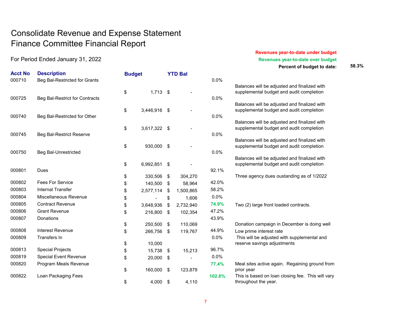## Consolidate Revenue and Expense Statement Finance Committee Financial Report

| <b>Acct No</b><br>000710 | <b>Description</b><br>Beg Bal-Restricted for Grants | <b>Budget</b> |              |               | <b>YTD Bal</b> | 0.0%   |                                                                             |
|--------------------------|-----------------------------------------------------|---------------|--------------|---------------|----------------|--------|-----------------------------------------------------------------------------|
|                          |                                                     | \$            | $1,713$ \$   |               |                |        | Balances will be adjusted and finaliz<br>supplemental budget and audit comp |
| 000725                   | Beg Bal-Restrict for Contracts                      |               |              |               |                | 0.0%   |                                                                             |
|                          |                                                     | \$            | 3,446,916 \$ |               |                |        | Balances will be adjusted and finaliz<br>supplemental budget and audit com  |
| 000740                   | Beg Bal-Restricted for Other                        |               |              |               |                | 0.0%   |                                                                             |
|                          |                                                     |               |              |               |                |        | Balances will be adjusted and finaliz                                       |
|                          |                                                     | \$            | 3,617,322 \$ |               |                |        | supplemental budget and audit com                                           |
| 000745                   | Beg Bal-Restrict Reserve                            |               |              |               |                | 0.0%   | Balances will be adjusted and finaliz                                       |
|                          |                                                     | \$            | 930,000      | -\$           |                |        | supplemental budget and audit com                                           |
| 000750                   | <b>Beg Bal-Unrestricted</b>                         |               |              |               |                | 0.0%   |                                                                             |
|                          |                                                     |               |              |               |                |        | Balances will be adjusted and finaliz                                       |
|                          |                                                     | \$            | 6,992,851 \$ |               |                |        | supplemental budget and audit com                                           |
| 000801                   | Dues                                                | \$            | 330,506      | \$            | 304,270        | 92.1%  | Three agency dues oustanding as of                                          |
| 000802                   | <b>Fees For Service</b>                             | \$            | 140,500      | \$            | 58,964         | 42.0%  |                                                                             |
| 000803                   | <b>Internal Transfer</b>                            | \$            | 2,577,114    | -\$           | 1,500,865      | 58.2%  |                                                                             |
| 000804                   | Miscellaneous Revenue                               | \$            |              | \$            | 1,606          | 0.0%   |                                                                             |
| 000805                   | <b>Contract Revenue</b>                             | \$            | 3,648,936    | \$            | 2,732,940      | 74.9%  | Two (2) large front loaded contracts.                                       |
| 000806                   | <b>Grant Revenue</b>                                | \$            | 216,800      | \$            | 102,354        | 47.2%  |                                                                             |
| 000807                   | Donations                                           |               |              |               |                | 43.9%  |                                                                             |
|                          |                                                     | \$            | 250,500      | \$            | 110,069        |        | Donation campaign in December is                                            |
| 000808                   | Interest Revenue                                    | \$            | 266,756      | \$            | 119,767        | 44.9%  | Low prime interest rate                                                     |
| 000809                   | Transfers In                                        |               |              |               |                | 0.0%   | This will be adjusted with suppleme                                         |
|                          |                                                     | \$            | 10,000       |               |                |        | reserve savings adjustments                                                 |
| 000813                   | <b>Special Projects</b>                             | \$            | 15,738       | $\frac{1}{2}$ | 15,213         | 96.7%  |                                                                             |
| 000819                   | <b>Special Event Revenue</b>                        | \$            | 20,000       | \$            |                | 0.0%   |                                                                             |
| 000820                   | Program Meals Revenue                               | \$            | 160,000      | \$            | 123,879        | 77.4%  | Meal sites active again. Regaining g<br>prior year                          |
| 000822                   | Loan Packaging Fees                                 |               |              |               |                | 102.8% | This is based on loan closing fee. T                                        |
|                          |                                                     | \$            | 4,000        | \$            | 4,110          |        | throughout the year.                                                        |

#### **Revenues year-to-date under budget** For Period Ended January 31, 2022 **Revenues year-to-date over budget Revenues year-to-date over budget**

**Percent of budget to date: 58.3%**

| 0.0%    |                                                                                          |
|---------|------------------------------------------------------------------------------------------|
|         | Balances will be adjusted and finalized with<br>supplemental budget and audit completion |
| 0.0%    |                                                                                          |
|         | Balances will be adjusted and finalized with<br>supplemental budget and audit completion |
| 0.0%    |                                                                                          |
|         | Balances will be adjusted and finalized with<br>supplemental budget and audit completion |
| 0.0%    |                                                                                          |
|         | Balances will be adjusted and finalized with<br>supplemental budget and audit completion |
| $0.0\%$ |                                                                                          |
|         | Balances will be adjusted and finalized with                                             |
|         | supplemental budget and audit completion                                                 |
| 92.1%   |                                                                                          |
| 42.0%   | Three agency dues oustanding as of 1/2022                                                |
| 58.2%   |                                                                                          |
| 0.0%    |                                                                                          |
| 74.9%   | Two (2) large front loaded contracts.                                                    |
| 47.2%   |                                                                                          |
| 43.9%   |                                                                                          |
|         | Donation campaign in December is doing well                                              |
| 44.9%   | Low prime interest rate                                                                  |
| 0.0%    | This will be adjusted with supplemental and<br>reserve savings adjustments               |
| 96.7%   |                                                                                          |
| 0.0%    |                                                                                          |
| 77.4%   | Meal sites active again. Regaining ground from<br>prior year                             |
| 102.8%  | This is based on loan closing fee. This will vary<br>throughout the year.                |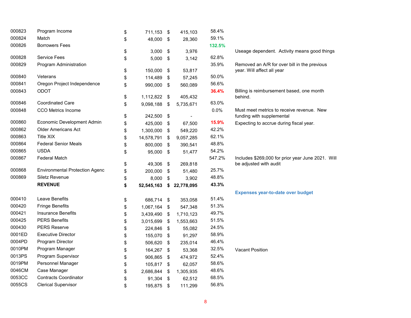| 000823 | Program Income                        | \$<br>711,153 \$   |      | 415,103    | 58.4%  |                                                      |
|--------|---------------------------------------|--------------------|------|------------|--------|------------------------------------------------------|
| 000824 | Match                                 | \$<br>48,000 \$    |      | 28,360     | 59.1%  |                                                      |
| 000826 | <b>Borrowers Fees</b>                 |                    |      |            | 132.5% |                                                      |
|        |                                       | \$<br>3,000        | \$   | 3,976      |        | Useage dependent. Activity means good things         |
| 000828 | <b>Service Fees</b>                   | \$<br>$5,000$ \$   |      | 3,142      | 62.8%  |                                                      |
| 000829 | Program Administration                |                    |      |            | 35.9%  | Removed an A/R for over bill in the previous         |
| 000840 | Veterans                              | \$<br>150,000      | \$   | 53,817     | 50.0%  | year. Will affect all year                           |
| 000841 |                                       | \$<br>114,489      | \$   | 57,245     | 56.6%  |                                                      |
|        | Oregon Project Independence           | \$<br>990,000 \$   |      | 560,089    |        |                                                      |
| 000843 | ODOT                                  | \$<br>1,112,822 \$ |      | 405,432    | 36.4%  | Billing is reimbursement based, one month<br>behind. |
| 000846 | <b>Coordinated Care</b>               | \$<br>9,098,188    | \$   | 5,735,671  | 63.0%  |                                                      |
| 000848 | <b>CCO Metrics Income</b>             |                    |      |            | 0.0%   | Must meet metrics to receive revenue. New            |
|        |                                       | \$<br>242,500 \$   |      |            |        | funding with supplemental                            |
| 000860 | Economic Development Admin            | \$<br>425,000      | -\$  | 67,500     | 15.9%  | Expecting to accrue during fiscal year.              |
| 000862 | <b>Older Americans Act</b>            | \$<br>1,300,000    | -\$  | 549,220    | 42.2%  |                                                      |
| 000863 | <b>Title XIX</b>                      | \$<br>14,578,791   | \$   | 9,057,285  | 62.1%  |                                                      |
| 000864 | <b>Federal Senior Meals</b>           | \$<br>800,000      | -\$  | 390,541    | 48.8%  |                                                      |
| 000865 | <b>USDA</b>                           | \$<br>95,000 \$    |      | 51,477     | 54.2%  |                                                      |
| 000867 | <b>Federal Match</b>                  |                    |      |            | 547.2% | Includes \$269,000 for prior year June 2021. Will    |
|        |                                       | \$<br>49,306       | \$   | 269,818    |        | be adjusted with audit                               |
| 000868 | <b>Environmental Protection Agenc</b> | \$<br>200,000      | \$   | 51,480     | 25.7%  |                                                      |
| 000869 | <b>Siletz Revenue</b>                 | \$<br>8,000        | \$   | 3,902      | 48.8%  |                                                      |
|        | <b>REVENUE</b>                        | \$<br>52,545,163   | \$   | 22,778,095 | 43.3%  |                                                      |
|        |                                       |                    |      |            |        | <b>Expenses year-to-date over budget</b>             |
| 000410 | Leave Benefits                        | \$<br>686,714 \$   |      | 353,058    | 51.4%  |                                                      |
| 000420 | <b>Fringe Benefits</b>                | \$<br>1,067,164 \$ |      | 547,348    | 51.3%  |                                                      |
| 000421 | <b>Insurance Benefits</b>             | \$<br>3,439,490    | - \$ | 1,710,123  | 49.7%  |                                                      |
| 000425 | <b>PERS Benefits</b>                  | \$<br>3,015,699    | -\$  | 1,553,663  | 51.5%  |                                                      |
| 000430 | <b>PERS Reserve</b>                   | \$<br>224,846      | \$   | 55,082     | 24.5%  |                                                      |
| 0001ED | <b>Executive Director</b>             | \$<br>155,070      | \$   | 91,297     | 58.9%  |                                                      |
| 0004PD | Program Director                      | \$<br>506,620      | -\$  | 235,014    | 46.4%  |                                                      |
| 0010PM | Program Manager                       | \$<br>164,267 \$   |      | 53,368     | 32.5%  | <b>Vacant Position</b>                               |
| 0013PS | Program Supervisor                    | \$<br>906,865      | \$   | 474,972    | 52.4%  |                                                      |
| 0019PM | Personnel Manager                     | \$<br>105,817 \$   |      | 62,057     | 58.6%  |                                                      |
| 0046CM | Case Manager                          | \$<br>2,686,844    | \$   | 1,305,935  | 48.6%  |                                                      |
| 0053CC | <b>Contracts Coordinator</b>          | \$<br>91,304       | -\$  | 62,512     | 68.5%  |                                                      |
| 0055CS | <b>Clerical Supervisor</b>            | \$<br>195,875      | \$   | 111,299    | 56.8%  |                                                      |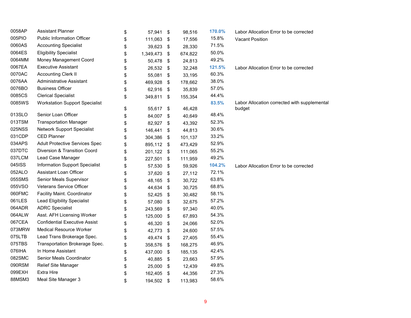| 0058AP | <b>Assistant Planner</b>              | \$<br>57,941    | \$<br>98,516  | 170.0% | Labor Allocation Error to be corrected       |
|--------|---------------------------------------|-----------------|---------------|--------|----------------------------------------------|
| 005PIO | <b>Public Information Officer</b>     | \$<br>111,063   | \$<br>17,556  | 15.8%  | <b>Vacant Position</b>                       |
| 0060AS | <b>Accounting Specialist</b>          | \$<br>39,623    | \$<br>28,330  | 71.5%  |                                              |
| 0064ES | <b>Eligibility Specialist</b>         | \$<br>1,349,473 | \$<br>674,822 | 50.0%  |                                              |
| 0064MM | Money Management Coord                | \$<br>50,478    | \$<br>24,813  | 49.2%  |                                              |
| 0067EA | <b>Executive Assistant</b>            | \$<br>26,532    | \$<br>32,248  | 121.5% | Labor Allocation Error to be corrected       |
| 0070AC | <b>Accounting Clerk II</b>            | \$<br>55,081    | \$<br>33,195  | 60.3%  |                                              |
| 0076AA | <b>Administrative Assistant</b>       | \$<br>469,928   | \$<br>178,662 | 38.0%  |                                              |
| 0076BO | <b>Business Officer</b>               | \$<br>62,916    | \$<br>35,839  | 57.0%  |                                              |
| 0085CS | <b>Clerical Specialist</b>            | \$<br>349,811   | \$<br>155,354 | 44.4%  |                                              |
| 0085WS | <b>Workstation Support Specialist</b> |                 |               | 83.5%  | Labor Allocation corrected with supplemental |
|        |                                       | \$<br>55,617    | \$<br>46,428  |        | budget                                       |
| 013SLO | Senior Loan Officer                   | \$<br>84,007    | \$<br>40,649  | 48.4%  |                                              |
| 013TSM | <b>Transportation Manager</b>         | \$<br>82,927    | \$<br>43,392  | 52.3%  |                                              |
| 025NSS | <b>Network Support Specialist</b>     | \$<br>146,441   | \$<br>44,813  | 30.6%  |                                              |
| 031CDP | <b>CED Planner</b>                    | \$<br>304,386   | \$<br>101,137 | 33.2%  |                                              |
| 034APS | <b>Adult Protective Services Spec</b> | \$<br>895,112   | \$<br>473,429 | 52.9%  |                                              |
| 037DTC | Diversion & Transition Coord          | \$<br>201,122   | \$<br>111,065 | 55.2%  |                                              |
| 037LCM | Lead Case Manager                     | \$<br>227,501   | \$<br>111,959 | 49.2%  |                                              |
| 045ISS | <b>Information Support Specialist</b> | \$<br>57,530    | \$<br>59,926  | 104.2% | Labor Allocation Error to be corrected       |
| 052ALO | Assistant Loan Officer                | \$<br>37,620    | \$<br>27,112  | 72.1%  |                                              |
| 055SMS | Senior Meals Supervisor               | \$<br>48,165    | \$<br>30,722  | 63.8%  |                                              |
| 055VSO | Veterans Service Officer              | \$<br>44,634    | \$<br>30,725  | 68.8%  |                                              |
| 060FMC | Facility Maint. Coordinator           | \$<br>52,425    | \$<br>30,482  | 58.1%  |                                              |
| 061LES | <b>Lead Eligibility Specialist</b>    | \$<br>57,080    | \$<br>32,675  | 57.2%  |                                              |
| 064ADR | <b>ADRC Specialist</b>                | \$<br>243,569   | \$<br>97,340  | 40.0%  |                                              |
| 064ALW | Asst. AFH Licensing Worker            | \$<br>125,000   | \$<br>67,893  | 54.3%  |                                              |
| 067CEA | <b>Confidential Executive Assist</b>  | \$<br>46,320    | \$<br>24,066  | 52.0%  |                                              |
| 073MRW | <b>Medical Resource Worker</b>        | \$<br>42,773    | \$<br>24,600  | 57.5%  |                                              |
| 075LTB | Lead Trans Brokerage Spec.            | \$<br>49,474    | \$<br>27,405  | 55.4%  |                                              |
| 075TBS | Transportation Brokerage Spec.        | \$<br>358,576   | \$<br>168,275 | 46.9%  |                                              |
| 076IHA | In Home Assistant                     | \$<br>437,000   | \$<br>185,135 | 42.4%  |                                              |
| 082SMC | Senior Meals Coordinator              | \$<br>40,885    | \$<br>23,663  | 57.9%  |                                              |
| 090RSM | Relief Site Manager                   | \$<br>25,000    | \$<br>12,439  | 49.8%  |                                              |
| 099EXH | <b>Extra Hire</b>                     | \$<br>162,405   | \$<br>44,356  | 27.3%  |                                              |
| 88MSM3 | Meal Site Manager 3                   | \$<br>194,502   | \$<br>113,983 | 58.6%  |                                              |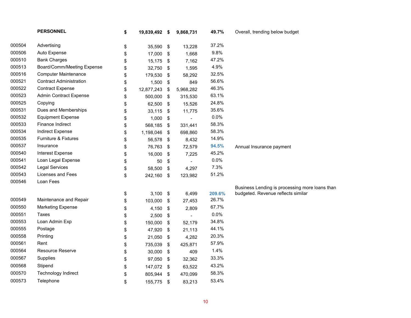|                  | <b>PERSONNEL</b>               | \$<br>19,839,492 \$ |               | 9,868,731      | 49.7%           | Overall, trending below budget                 |
|------------------|--------------------------------|---------------------|---------------|----------------|-----------------|------------------------------------------------|
| 000504           | Advertising                    | \$<br>35,590 \$     |               | 13,228         | 37.2%           |                                                |
| 000506           | Auto Expense                   | \$<br>17,000        | \$            | 1,668          | 9.8%            |                                                |
| 000510           | <b>Bank Charges</b>            | \$<br>15,175        | \$            | 7,162          | 47.2%           |                                                |
| 000513           | Board/Comm/Meeting Expense     | \$<br>32,750        | \$            | 1,595          | 4.9%            |                                                |
| 000516           | <b>Computer Maintenance</b>    | \$<br>179,530       | \$            | 58,292         | 32.5%           |                                                |
| 000521           | <b>Contract Administration</b> | \$<br>1,500         | \$            | 849            | 56.6%           |                                                |
| 000522           | <b>Contract Expense</b>        | \$<br>12,877,243    | \$            | 5,968,282      | 46.3%           |                                                |
| 000523           | <b>Admin Contract Expense</b>  | \$<br>500,000       | \$            | 315,530        | 63.1%           |                                                |
| 000525           | Copying                        | \$<br>62,500        | \$            | 15,526         | 24.8%           |                                                |
| 000531           | Dues and Memberships           | \$<br>33,115        | \$            | 11,775         | 35.6%           |                                                |
| 000532           | <b>Equipment Expense</b>       | \$<br>1,000         | \$            |                | 0.0%            |                                                |
| 000533           | Finance Indirect               | \$<br>568,185       | \$            | 331,441        | 58.3%           |                                                |
| 000534           | <b>Indirect Expense</b>        | \$<br>1,198,046     | \$            | 698,860        | 58.3%           |                                                |
| 000535           | Furniture & Fixtures           | \$<br>56,578        | \$            | 8,432          | 14.9%           |                                                |
| 000537           | Insurance                      | \$<br>76,763        | \$            | 72,579         | 94.5%           | Annual Insurance payment                       |
| 000540           | Interest Expense               | \$<br>16,000        | \$            | 7,225          | 45.2%           |                                                |
| 000541           | Loan Legal Expense             | \$<br>50            | \$            | $\overline{a}$ | 0.0%            |                                                |
| 000542           | <b>Legal Services</b>          | \$<br>58,500        | \$            | 4,297          | 7.3%            |                                                |
| 000543           | Licenses and Fees              | \$<br>242,160 \$    |               | 123,982        | 51.2%           |                                                |
| 000546           | Loan Fees                      |                     |               |                |                 |                                                |
|                  |                                |                     |               |                |                 | Business Lending is processing more loans than |
| 000549           | Maintenance and Repair         | \$<br>$3,100$ \$    |               | 6,499          | 209.6%<br>26.7% | budgeted. Revenue reflects similar             |
|                  |                                | \$<br>103,000       | \$            | 27,453         |                 |                                                |
| 000550<br>000551 | <b>Marketing Expense</b>       | \$<br>4,150         | \$            | 2,809          | 67.7%<br>0.0%   |                                                |
| 000553           | Taxes<br>Loan Admin Exp        | \$<br>2,500         | \$            |                | 34.8%           |                                                |
| 000555           |                                | \$<br>150,000       | \$            | 52,179         |                 |                                                |
|                  | Postage                        | \$<br>47,920        | $\sqrt[6]{3}$ | 21,113         | 44.1%           |                                                |
| 000558           | Printing                       | \$<br>21,050        | \$            | 4,282          | 20.3%           |                                                |
| 000561           | Rent                           | \$<br>735,039       | \$            | 425,871        | 57.9%           |                                                |
| 000564           | Resource Reserve               | \$<br>30,000        | $\sqrt[6]{3}$ | 409            | 1.4%            |                                                |
| 000567           | Supplies                       | \$<br>97,050        | \$            | 32,362         | 33.3%           |                                                |
| 000568           | Stipend                        | \$<br>147,072 \$    |               | 63,522         | 43.2%           |                                                |
| 000570           | Technology Indirect            | \$<br>805,944       | \$            | 470,099        | 58.3%           |                                                |
| 000573           | Telephone                      | \$<br>155,775       | \$            | 83,213         | 53.4%           |                                                |